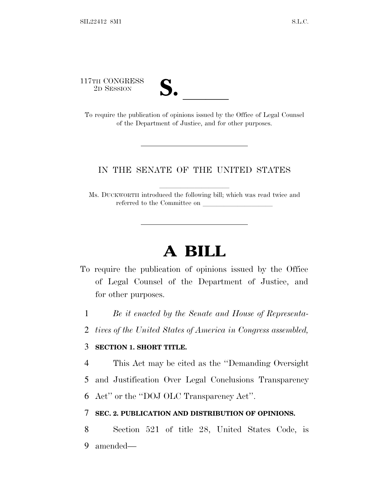117TH CONGRESS



17TH CONGRESS<br>
2D SESSION<br>
To require the publication of opinions issued by the Office of Legal Counsel of the Department of Justice, and for other purposes.

## IN THE SENATE OF THE UNITED STATES

Ms. DUCKWORTH introduced the following bill; which was read twice and referred to the Committee on

## **A BILL**

- To require the publication of opinions issued by the Office of Legal Counsel of the Department of Justice, and for other purposes.
	- 1 *Be it enacted by the Senate and House of Representa-*
	- 2 *tives of the United States of America in Congress assembled,*

## 3 **SECTION 1. SHORT TITLE.**

- 4 This Act may be cited as the ''Demanding Oversight
- 5 and Justification Over Legal Conclusions Transparency

6 Act'' or the ''DOJ OLC Transparency Act''.

## 7 **SEC. 2. PUBLICATION AND DISTRIBUTION OF OPINIONS.**

8 Section 521 of title 28, United States Code, is 9 amended—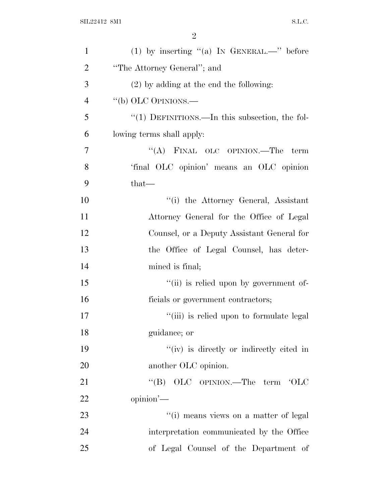| $\mathbf{1}$   | (1) by inserting "(a) IN GENERAL.—" before        |
|----------------|---------------------------------------------------|
| $\overline{2}$ | "The Attorney General"; and                       |
| 3              | $(2)$ by adding at the end the following:         |
| $\overline{4}$ | "(b) OLC OPINIONS.—                               |
| 5              | " $(1)$ DEFINITIONS.—In this subsection, the fol- |
| 6              | lowing terms shall apply:                         |
| $\overline{7}$ | "(A) FINAL OLC OPINION.—The<br>term               |
| 8              | 'final OLC opinion' means an OLC opinion          |
| 9              | $that-$                                           |
| 10             | "(i) the Attorney General, Assistant              |
| 11             | Attorney General for the Office of Legal          |
| 12             | Counsel, or a Deputy Assistant General for        |
| 13             | the Office of Legal Counsel, has deter-           |
| 14             | mined is final;                                   |
| 15             | "(ii) is relied upon by government of-            |
| 16             | ficials or government contractors;                |
| 17             | "(iii) is relied upon to formulate legal          |
| 18             | guidance; or                                      |
| 19             | "(iv) is directly or indirectly cited in          |
| 20             | another OLC opinion.                              |
| 21             | "(B) OLC OPINION.—The term 'OLC                   |
| 22             | opinion'-                                         |
| 23             | "(i) means views on a matter of legal             |
| 24             | interpretation communicated by the Office         |
| 25             | of Legal Counsel of the Department of             |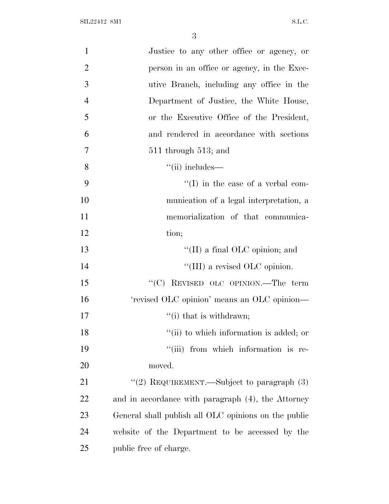| $\mathbf{1}$   | Justice to any other office or agency, or            |
|----------------|------------------------------------------------------|
| $\overline{2}$ | person in an office or agency, in the Exec-          |
| 3              | utive Branch, including any office in the            |
| $\overline{4}$ | Department of Justice, the White House,              |
| 5              | or the Executive Office of the President,            |
| 6              | and rendered in accordance with sections             |
| 7              | $511$ through $513$ ; and                            |
| 8              | $``$ (ii) includes—                                  |
| 9              | $\lq\lq$ (I) in the case of a verbal com-            |
| 10             | munication of a legal interpretation, a              |
| 11             | memorialization of that communica-                   |
| 12             | tion;                                                |
| 13             | "(II) a final OLC opinion; and                       |
| 14             | "(III) a revised OLC opinion.                        |
| 15             | " $(C)$ REVISED OLC OPINION.—The term                |
| 16             | 'revised OLC opinion' means an OLC opinion-          |
| 17             | $f'(i)$ that is withdrawn;                           |
| 18             | "(ii) to which information is added; or              |
| 19             | "(iii) from which information is re-                 |
| 20             | moved.                                               |
| 21             | "(2) REQUIREMENT.—Subject to paragraph (3)           |
| 22             | and in accordance with paragraph (4), the Attorney   |
| 23             | General shall publish all OLC opinions on the public |
| 24             | website of the Department to be accessed by the      |
| 25             | public free of charge.                               |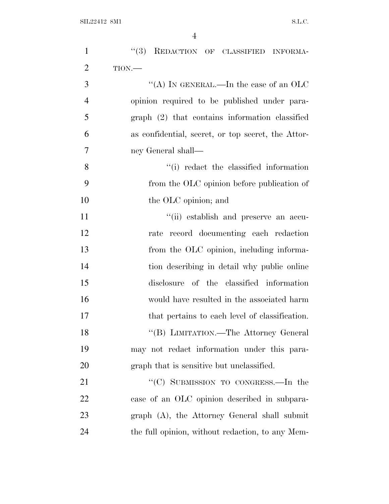| $\mathbf{1}$   | "(3) REDACTION OF CLASSIFIED INFORMA-              |
|----------------|----------------------------------------------------|
| $\overline{2}$ | TION.                                              |
| 3              | "(A) IN GENERAL.—In the case of an OLC             |
| $\overline{4}$ | opinion required to be published under para-       |
| 5              | graph (2) that contains information classified     |
| 6              | as confidential, secret, or top secret, the Attor- |
| $\overline{7}$ | ney General shall—                                 |
| 8              | "(i) redact the classified information             |
| 9              | from the OLC opinion before publication of         |
| 10             | the OLC opinion; and                               |
| 11             | "(ii) establish and preserve an accu-              |
| 12             | rate record documenting each redaction             |
| 13             | from the OLC opinion, including informa-           |
| 14             | tion describing in detail why public online        |
| 15             | disclosure of the classified information           |
| 16             | would have resulted in the associated harm         |
| 17             | that pertains to each level of classification.     |
| 18             | "(B) LIMITATION.—The Attorney General              |
| 19             | may not redact information under this para-        |
| 20             | graph that is sensitive but unclassified.          |
| 21             | "(C) SUBMISSION TO CONGRESS.—In the                |
| 22             | case of an OLC opinion described in subpara-       |
| 23             | graph (A), the Attorney General shall submit       |
| 24             | the full opinion, without redaction, to any Mem-   |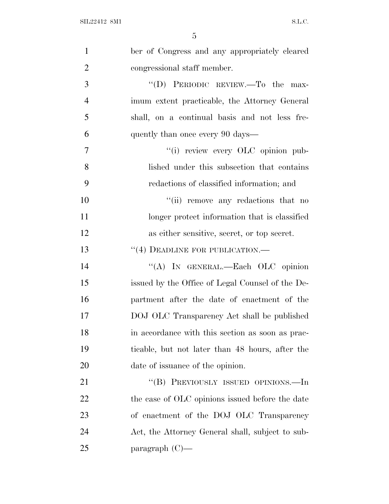| $\mathbf{1}$   | ber of Congress and any appropriately cleared    |
|----------------|--------------------------------------------------|
| $\overline{2}$ | congressional staff member.                      |
| 3              | "(D) PERIODIC REVIEW.—To the max-                |
| $\overline{4}$ | imum extent practicable, the Attorney General    |
| 5              | shall, on a continual basis and not less fre-    |
| 6              | quently than once every 90 days—                 |
| 7              | "(i) review every OLC opinion pub-               |
| 8              | lished under this subsection that contains       |
| 9              | redactions of classified information; and        |
| 10             | "(ii) remove any redactions that no              |
| 11             | longer protect information that is classified    |
| 12             | as either sensitive, secret, or top secret.      |
| 13             | $``(4)$ DEADLINE FOR PUBLICATION.—               |
| 14             | "(A) IN GENERAL.—Each OLC opinion                |
| 15             | issued by the Office of Legal Counsel of the De- |
| 16             | partment after the date of enactment of the      |
| 17             | DOJ OLC Transparency Act shall be published      |
| 18             | in accordance with this section as soon as prac- |
| 19             | ticable, but not later than 48 hours, after the  |
| 20             | date of issuance of the opinion.                 |
| 21             | "(B) PREVIOUSLY ISSUED OPINIONS.—In              |
| <u>22</u>      | the case of OLC opinions issued before the date  |
| 23             | of enactment of the DOJ OLC Transparency         |
| 24             | Act, the Attorney General shall, subject to sub- |
| 25             | paragraph $(C)$ —                                |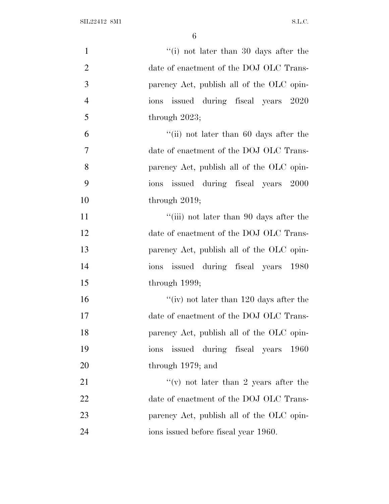| $\mathbf{1}$   | "(i) not later than 30 days after the     |
|----------------|-------------------------------------------|
| $\overline{2}$ | date of enactment of the DOJ OLC Trans-   |
| 3              | parency Act, publish all of the OLC opin- |
| $\overline{4}$ | ions issued during fiscal years 2020      |
| 5              | through $2023$ ;                          |
| 6              | "(ii) not later than $60$ days after the  |
| $\overline{7}$ | date of enactment of the DOJ OLC Trans-   |
| 8              | parency Act, publish all of the OLC opin- |
| 9              | ions issued during fiscal years 2000      |
| 10             | through $2019$ ;                          |
| 11             | "(iii) not later than 90 days after the   |
| 12             | date of enactment of the DOJ OLC Trans-   |
| 13             | parency Act, publish all of the OLC opin- |
| 14             | issued during fiscal years 1980<br>ions   |
| 15             | through $1999;$                           |
| 16             | "(iv) not later than $120$ days after the |
| 17             | date of enactment of the DOJ OLC Trans-   |
| 18             | parency Act, publish all of the OLC opin- |
| 19             | issued during fiscal years 1960<br>ions   |
| 20             | through 1979; and                         |
| 21             | "(v) not later than 2 years after the     |
| 22             | date of enactment of the DOJ OLC Trans-   |
| 23             | parency Act, publish all of the OLC opin- |
| 24             | ions issued before fiscal year 1960.      |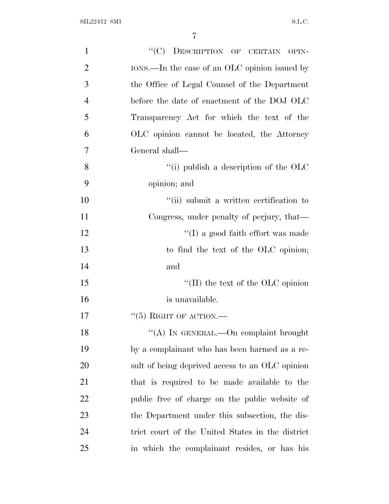| $\mathbf{1}$   | "(C) DESCRIPTION OF CERTAIN OPIN-                  |
|----------------|----------------------------------------------------|
| $\overline{2}$ | IONS.—In the case of an OLC opinion issued by      |
| 3              | the Office of Legal Counsel of the Department      |
| $\overline{4}$ | before the date of enactment of the DOJ OLC        |
| 5              | Transparency Act for which the text of the         |
| 6              | OLC opinion cannot be located, the Attorney        |
| 7              | General shall—                                     |
| 8              | "(i) publish a description of the $\overline{OLC}$ |
| 9              | opinion; and                                       |
| 10             | "(ii) submit a written certification to            |
| 11             | Congress, under penalty of perjury, that—          |
| 12             | $\lq\lq$ (I) a good faith effort was made          |
| 13             | to find the text of the OLC opinion;               |
| 14             | and                                                |
| 15             | "(II) the text of the OLC opinion                  |
| 16             | is unavailable.                                    |
| 17             | $\lq(5)$ RIGHT OF ACTION.—                         |
| 18             | "(A) IN GENERAL.—On complaint brought              |
| 19             | by a complainant who has been harmed as a re-      |
| 20             | sult of being deprived access to an OLC opinion    |
| 21             | that is required to be made available to the       |
| 22             | public free of charge on the public website of     |
| 23             | the Department under this subsection, the dis-     |
| 24             | trict court of the United States in the district   |
| 25             | in which the complainant resides, or has his       |